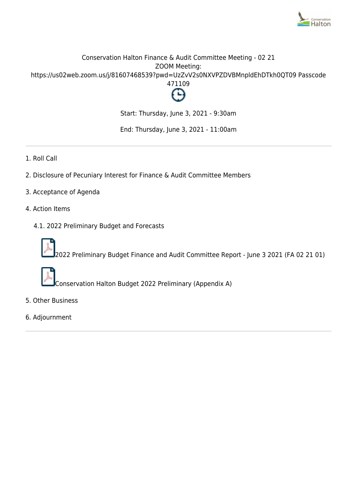

### Conservation Halton Finance & Audit Committee Meeting - 02 21 ZOOM Meeting: https://us02web.zoom.us/j/81607468539?pwd=UzZvV2s0NXVPZDVBMnpldEhDTkh0QT09 Passcode 471109



Start: Thursday, June 3, 2021 - 9:30am

End: Thursday, June 3, 2021 - 11:00am

- 1. Roll Call
- 2. Disclosure of Pecuniary Interest for Finance & Audit Committee Members
- 3. Acceptance of Agenda
- 4. Action Items
	- 4.1. 2022 Preliminary Budget and Forecasts



2022 Preliminary Budget Finance and Audit Committee Report - June 3 2021 (FA 02 21 01)



Conservation Halton Budget 2022 Preliminary (Appendix A)

- 5. Other Business
- 6. Adjournment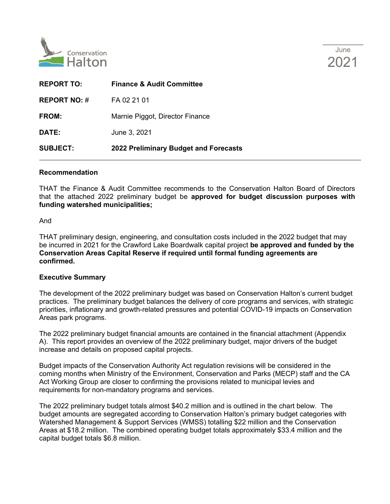

| <b>REPORT TO:</b>   | <b>Finance &amp; Audit Committee</b>  |
|---------------------|---------------------------------------|
| <b>REPORT NO: #</b> | FA 02 21 01                           |
| <b>FROM:</b>        | Marnie Piggot, Director Finance       |
| <b>DATE:</b>        | June 3, 2021                          |
| <b>SUBJECT:</b>     | 2022 Preliminary Budget and Forecasts |

### **Recommendation**

THAT the Finance & Audit Committee recommends to the Conservation Halton Board of Directors that the attached 2022 preliminary budget be **approved for budget discussion purposes with funding watershed municipalities;**

And

THAT preliminary design, engineering, and consultation costs included in the 2022 budget that may be incurred in 2021 for the Crawford Lake Boardwalk capital project **be approved and funded by the Conservation Areas Capital Reserve if required until formal funding agreements are confirmed.**

### **Executive Summary**

The development of the 2022 preliminary budget was based on Conservation Halton's current budget practices. The preliminary budget balances the delivery of core programs and services, with strategic priorities, inflationary and growth-related pressures and potential COVID-19 impacts on Conservation Areas park programs.

The 2022 preliminary budget financial amounts are contained in the financial attachment (Appendix A). This report provides an overview of the 2022 preliminary budget, major drivers of the budget increase and details on proposed capital projects.

Budget impacts of the Conservation Authority Act regulation revisions will be considered in the coming months when Ministry of the Environment, Conservation and Parks (MECP) staff and the CA Act Working Group are closer to confirming the provisions related to municipal levies and requirements for non-mandatory programs and services.

The 2022 preliminary budget totals almost \$40.2 million and is outlined in the chart below. The budget amounts are segregated according to Conservation Halton's primary budget categories with Watershed Management & Support Services (WMSS) totalling \$22 million and the Conservation Areas at \$18.2 million. The combined operating budget totals approximately \$33.4 million and the capital budget totals \$6.8 million.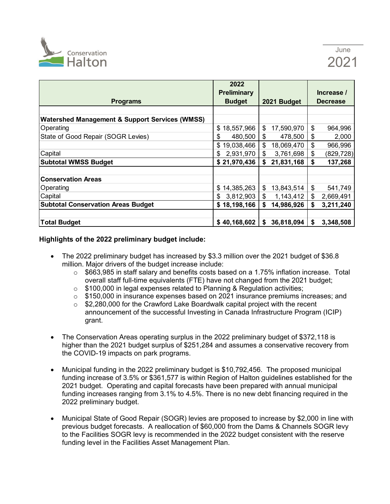

|                                                           | 2022               |                  |                  |
|-----------------------------------------------------------|--------------------|------------------|------------------|
|                                                           | <b>Preliminary</b> |                  | Increase /       |
| <b>Programs</b>                                           | <b>Budget</b>      | 2021 Budget      | <b>Decrease</b>  |
|                                                           |                    |                  |                  |
| <b>Watershed Management &amp; Support Services (WMSS)</b> |                    |                  |                  |
| Operating                                                 | 18,557,966<br>\$   | \$<br>17,590,970 | \$<br>964,996    |
| State of Good Repair (SOGR Levies)                        | \$<br>480,500      | \$<br>478,500    | \$<br>2,000      |
|                                                           | \$<br>19,038,466   | \$<br>18,069,470 | \$<br>966,996    |
| Capital                                                   | 2,931,970<br>S     | \$<br>3,761,698  | \$<br>(829, 728) |
| <b>Subtotal WMSS Budget</b>                               | \$21,970,436       | \$<br>21,831,168 | \$<br>137,268    |
|                                                           |                    |                  |                  |
| <b>Conservation Areas</b>                                 |                    |                  |                  |
| Operating                                                 | 14,385,263<br>\$   | \$<br>13,843,514 | \$<br>541,749    |
| Capital                                                   | 3,812,903<br>S     | \$<br>1,143,412  | \$<br>2,669,491  |
| <b>Subtotal Conservation Areas Budget</b>                 | \$18,198,166       | \$<br>14,986,926 | 3,211,240<br>S   |
|                                                           |                    |                  |                  |
| <b>Total Budget</b>                                       | \$40,168,602       | 36,818,094<br>S  | 3,348,508<br>S   |

### **Highlights of the 2022 preliminary budget include:**

- The 2022 preliminary budget has increased by \$3.3 million over the 2021 budget of \$36.8 million. Major drivers of the budget increase include:
	- $\circ$  \$663,985 in staff salary and benefits costs based on a 1.75% inflation increase. Total overall staff full-time equivalents (FTE) have not changed from the 2021 budget;
	- o \$100,000 in legal expenses related to Planning & Regulation activities;
	- $\circ$  \$150,000 in insurance expenses based on 2021 insurance premiums increases; and
	- $\circ$  \$2,280,000 for the Crawford Lake Boardwalk capital project with the recent announcement of the successful Investing in Canada Infrastructure Program (ICIP) grant.
- The Conservation Areas operating surplus in the 2022 preliminary budget of \$372,118 is higher than the 2021 budget surplus of \$251,284 and assumes a conservative recovery from the COVID-19 impacts on park programs.
- Municipal funding in the 2022 preliminary budget is \$10,792,456. The proposed municipal funding increase of 3.5% or \$361,577 is within Region of Halton guidelines established for the 2021 budget. Operating and capital forecasts have been prepared with annual municipal funding increases ranging from 3.1% to 4.5%. There is no new debt financing required in the 2022 preliminary budget.
- Municipal State of Good Repair (SOGR) levies are proposed to increase by \$2,000 in line with previous budget forecasts. A reallocation of \$60,000 from the Dams & Channels SOGR levy to the Facilities SOGR levy is recommended in the 2022 budget consistent with the reserve funding level in the Facilities Asset Management Plan.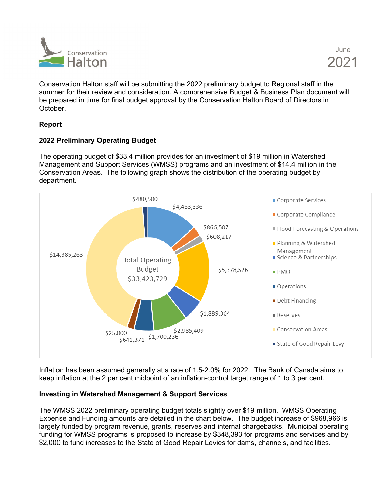

Conservation Halton staff will be submitting the 2022 preliminary budget to Regional staff in the summer for their review and consideration. A comprehensive Budget & Business Plan document will be prepared in time for final budget approval by the Conservation Halton Board of Directors in October.

### **Report**

### **2022 Preliminary Operating Budget**

The operating budget of \$33.4 million provides for an investment of \$19 million in Watershed Management and Support Services (WMSS) programs and an investment of \$14.4 million in the Conservation Areas. The following graph shows the distribution of the operating budget by department.



Inflation has been assumed generally at a rate of 1.5-2.0% for 2022. The Bank of Canada aims to keep inflation at the 2 per cent midpoint of an inflation-control target range of 1 to 3 per cent.

### **Investing in Watershed Management & Support Services**

The WMSS 2022 preliminary operating budget totals slightly over \$19 million. WMSS Operating Expense and Funding amounts are detailed in the chart below. The budget increase of \$968,966 is largely funded by program revenue, grants, reserves and internal chargebacks. Municipal operating funding for WMSS programs is proposed to increase by \$348,393 for programs and services and by \$2,000 to fund increases to the State of Good Repair Levies for dams, channels, and facilities.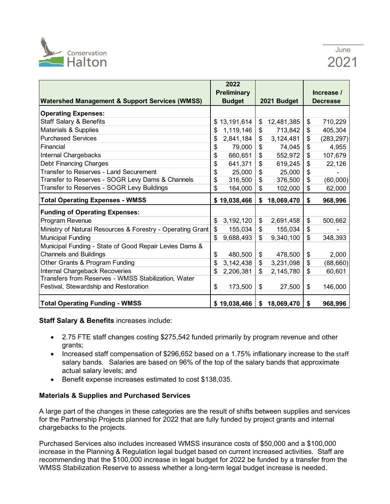

|                                                            | 2022               |                          |             |                  |
|------------------------------------------------------------|--------------------|--------------------------|-------------|------------------|
|                                                            | <b>Preliminary</b> |                          |             | Increase /       |
| <b>Watershed Management &amp; Support Services (WMSS)</b>  | <b>Budget</b>      |                          | 2021 Budget | <b>Decrease</b>  |
| <b>Operating Expenses:</b>                                 |                    |                          |             |                  |
| <b>Staff Salary &amp; Benefits</b>                         | \$<br>13,191,614   | \$                       | 12,481,385  | \$<br>710,229    |
| Materials & Supplies                                       | \$<br>1,119,146    | \$                       | 713,842     | \$<br>405,304    |
| <b>Purchased Services</b>                                  | \$<br>2,841,184    | \$                       | 3,124,481   | \$<br>(283, 297) |
| Financial                                                  | \$<br>79,000       | \$                       | 74,045      | \$<br>4,955      |
| <b>Internal Chargebacks</b>                                | \$<br>660,651      | \$                       | 552,972     | \$<br>107,679    |
| Debt Financing Charges                                     | \$<br>641,371      | \$                       | 619,245     | \$<br>22,126     |
| Transfer to Reserves - Land Securement                     | \$<br>25,000       | \$                       | 25,000      | \$               |
| Transfer to Reserves - SOGR Levy Dams & Channels           | \$<br>316,500      | $\overline{\mathcal{E}}$ | 376,500     | \$<br>(60,000)   |
| Transfer to Reserves - SOGR Levy Buildings                 | \$<br>164,000      | \$                       | 102,000     | \$<br>62,000     |
| <b>Total Operating Expenses - WMSS</b>                     | \$19,038,466       | \$                       | 18,069,470  | \$<br>968,996    |
| <b>Funding of Operating Expenses:</b>                      |                    |                          |             |                  |
|                                                            | 3, 192, 120        | \$                       | 2,691,458   |                  |
| Program Revenue                                            | \$                 |                          |             | \$<br>500,662    |
| Ministry of Natural Resources & Forestry - Operating Grant | \$<br>155,034      | \$                       | 155,034     | \$               |
| <b>Municipal Funding</b>                                   | 9,688,493          | \$                       | 9,340,100   | \$<br>348,393    |
| Municipal Funding - State of Good Repair Levies Dams &     |                    |                          |             |                  |
| <b>Channels and Buildings</b>                              | \$<br>480,500      | \$                       | 478,500     | \$<br>2,000      |
| Other Grants & Program Funding                             | \$<br>3,142,438    | \$                       | 3,231,098   | \$<br>(88, 660)  |
| Internal Chargeback Recoveries                             | \$<br>2,206,381    | \$                       | 2,145,780   | \$<br>60,601     |
| Transfers from Reserves - WMSS Stabilization, Water        |                    |                          |             |                  |
| Festival, Stewardship and Restoration                      | \$<br>173,500      | \$                       | 27,500      | \$<br>146,000    |

**Staff Salary & Benefits** increases include:

- 2.75 FTE staff changes costing \$275,542 funded primarily by program revenue and other grants;
- Increased staff compensation of \$296,652 based on a 1.75% inflationary increase to the staff salary bands. Salaries are based on 96% of the top of the salary bands that approximate actual salary levels; and
- Benefit expense increases estimated to cost \$138,035.

### **Materials & Supplies and Purchased Services**

A large part of the changes in these categories are the result of shifts between supplies and services for the Partnership Projects planned for 2022 that are fully funded by project grants and internal chargebacks to the projects.

Purchased Services also includes increased WMSS insurance costs of \$50,000 and a \$100,000 increase in the Planning & Regulation legal budget based on current increased activities. Staff are recommending that the \$100,000 increase in legal budget for 2022 be funded by a transfer from the WMSS Stabilization Reserve to assess whether a long-term legal budget increase is needed.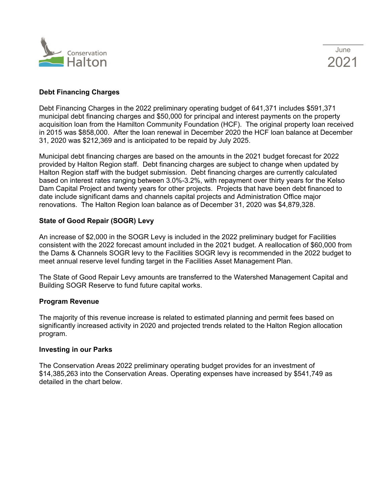



### **Debt Financing Charges**

Debt Financing Charges in the 2022 preliminary operating budget of 641,371 includes \$591,371 municipal debt financing charges and \$50,000 for principal and interest payments on the property acquisition loan from the Hamilton Community Foundation (HCF). The original property loan received in 2015 was \$858,000. After the loan renewal in December 2020 the HCF loan balance at December 31, 2020 was \$212,369 and is anticipated to be repaid by July 2025.

Municipal debt financing charges are based on the amounts in the 2021 budget forecast for 2022 provided by Halton Region staff. Debt financing charges are subject to change when updated by Halton Region staff with the budget submission. Debt financing charges are currently calculated based on interest rates ranging between 3.0%-3.2%, with repayment over thirty years for the Kelso Dam Capital Project and twenty years for other projects. Projects that have been debt financed to date include significant dams and channels capital projects and Administration Office major renovations. The Halton Region loan balance as of December 31, 2020 was \$4,879,328.

### **State of Good Repair (SOGR) Levy**

An increase of \$2,000 in the SOGR Levy is included in the 2022 preliminary budget for Facilities consistent with the 2022 forecast amount included in the 2021 budget. A reallocation of \$60,000 from the Dams & Channels SOGR levy to the Facilities SOGR levy is recommended in the 2022 budget to meet annual reserve level funding target in the Facilities Asset Management Plan.

The State of Good Repair Levy amounts are transferred to the Watershed Management Capital and Building SOGR Reserve to fund future capital works.

### **Program Revenue**

The majority of this revenue increase is related to estimated planning and permit fees based on significantly increased activity in 2020 and projected trends related to the Halton Region allocation program.

### **Investing in our Parks**

The Conservation Areas 2022 preliminary operating budget provides for an investment of \$14,385,263 into the Conservation Areas. Operating expenses have increased by \$541,749 as detailed in the chart below.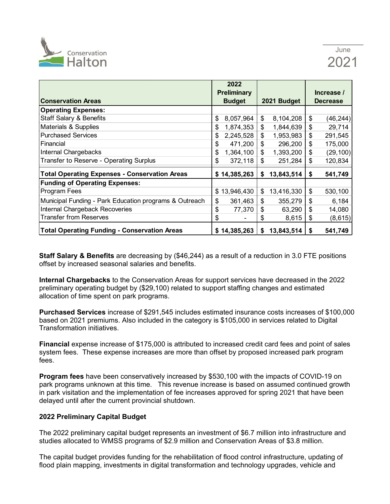

|                                                        | 2022               |                  |                                    |
|--------------------------------------------------------|--------------------|------------------|------------------------------------|
|                                                        | <b>Preliminary</b> |                  | Increase /                         |
| <b>Conservation Areas</b>                              | <b>Budget</b>      | 2021 Budget      | <b>Decrease</b>                    |
| <b>Operating Expenses:</b>                             |                    |                  |                                    |
| <b>Staff Salary &amp; Benefits</b>                     | \$<br>8,057,964    | \$<br>8,104,208  | \$<br>(46, 244)                    |
| Materials & Supplies                                   | \$<br>1,874,353    | \$<br>1,844,639  | \$<br>29,714                       |
| <b>Purchased Services</b>                              | \$<br>2,245,528    | \$<br>1,953,983  | \$<br>291,545                      |
| Financial                                              | \$<br>471,200      | \$<br>296,200    | \$<br>175,000                      |
| <b>Internal Chargebacks</b>                            | \$<br>1,364,100    | \$<br>1,393,200  | \$<br>(29, 100)                    |
| Transfer to Reserve - Operating Surplus                | \$<br>372,118      | \$<br>251,284    | \$<br>120,834                      |
| <b>Total Operating Expenses - Conservation Areas</b>   | \$14,385,263       | 13,843,514<br>\$ | 541,749<br>\$                      |
| <b>Funding of Operating Expenses:</b>                  |                    |                  |                                    |
| <b>Program Fees</b>                                    | \$13,946,430       | 13,416,330<br>\$ | \$<br>530,100                      |
| Municipal Funding - Park Education programs & Outreach | \$<br>361,463      | \$<br>355,279    | $\boldsymbol{\mathsf{s}}$<br>6,184 |
| Internal Chargeback Recoveries                         | \$<br>77,370       | \$<br>63,290     | \$<br>14,080                       |
| <b>Transfer from Reserves</b>                          | \$                 | \$<br>8,615      | \$<br>(8,615)                      |
| <b>Total Operating Funding - Conservation Areas</b>    | \$14,385,263       | 13,843,514<br>\$ | 541,749<br>S                       |

**Staff Salary & Benefits** are decreasing by (\$46,244) as a result of a reduction in 3.0 FTE positions offset by increased seasonal salaries and benefits.

**Internal Chargebacks** to the Conservation Areas for support services have decreased in the 2022 preliminary operating budget by (\$29,100) related to support staffing changes and estimated allocation of time spent on park programs.

**Purchased Services** increase of \$291,545 includes estimated insurance costs increases of \$100,000 based on 2021 premiums. Also included in the category is \$105,000 in services related to Digital Transformation initiatives.

**Financial** expense increase of \$175,000 is attributed to increased credit card fees and point of sales system fees. These expense increases are more than offset by proposed increased park program fees.

**Program fees** have been conservatively increased by \$530,100 with the impacts of COVID-19 on park programs unknown at this time. This revenue increase is based on assumed continued growth in park visitation and the implementation of fee increases approved for spring 2021 that have been delayed until after the current provincial shutdown.

### **2022 Preliminary Capital Budget**

The 2022 preliminary capital budget represents an investment of \$6.7 million into infrastructure and studies allocated to WMSS programs of \$2.9 million and Conservation Areas of \$3.8 million.

The capital budget provides funding for the rehabilitation of flood control infrastructure, updating of flood plain mapping, investments in digital transformation and technology upgrades, vehicle and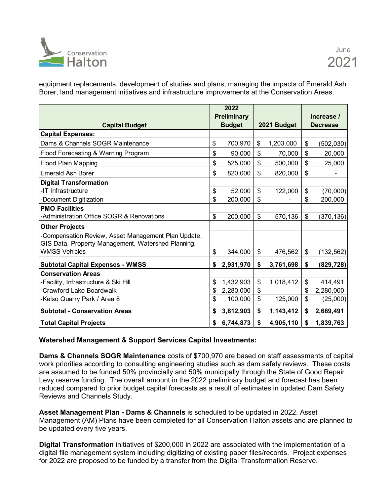

equipment replacements, development of studies and plans, managing the impacts of Emerald Ash Borer, land management initiatives and infrastructure improvements at the Conservation Areas.

|                                                    | 2022<br><b>Preliminary</b> |                 | Increase /       |
|----------------------------------------------------|----------------------------|-----------------|------------------|
| <b>Capital Budget</b>                              | <b>Budget</b>              | 2021 Budget     | <b>Decrease</b>  |
| <b>Capital Expenses:</b>                           |                            |                 |                  |
| Dams & Channels SOGR Maintenance                   | \$<br>700,970              | \$<br>1,203,000 | \$<br>(502, 030) |
| Flood Forecasting & Warning Program                | \$<br>90,000               | \$<br>70,000    | \$<br>20,000     |
| Flood Plain Mapping                                | \$<br>525,000              | \$<br>500,000   | \$<br>25,000     |
| <b>Emerald Ash Borer</b>                           | \$<br>820,000              | \$<br>820,000   | \$               |
| <b>Digital Transformation</b>                      |                            |                 |                  |
| -IT Infrastructure                                 | \$<br>52,000               | \$<br>122,000   | \$<br>(70,000)   |
| -Document Digitization                             | \$<br>200,000              | \$              | \$<br>200,000    |
| <b>PMO Facilities</b>                              |                            |                 |                  |
| Administration Office SOGR & Renovations           | \$<br>200,000              | \$<br>570,136   | \$<br>(370, 136) |
| <b>Other Projects</b>                              |                            |                 |                  |
| Compensation Review, Asset Management Plan Update, |                            |                 |                  |
| GIS Data, Property Management, Watershed Planning, |                            |                 |                  |
| <b>WMSS Vehicles</b>                               | \$<br>344,000              | \$<br>476,562   | \$<br>(132, 562) |
| <b>Subtotal Capital Expenses - WMSS</b>            | \$<br>2,931,970            | \$<br>3,761,698 | \$<br>(829, 728) |
| <b>Conservation Areas</b>                          |                            |                 |                  |
| -Facility, Infrastructure & Ski Hill               | \$<br>1,432,903            | \$<br>1,018,412 | \$<br>414,491    |
| -Crawford Lake Boardwalk                           | \$<br>2,280,000            | \$              | \$<br>2,280,000  |
| -Kelso Quarry Park / Area 8                        | \$<br>100,000              | \$<br>125,000   | \$<br>(25,000)   |
| <b>Subtotal - Conservation Areas</b>               | \$<br>3,812,903            | \$<br>1,143,412 | \$<br>2,669,491  |
| <b>Total Capital Projects</b>                      | \$<br>6,744,873            | \$<br>4,905,110 | \$<br>1,839,763  |

### **Watershed Management & Support Services Capital Investments:**

**Dams & Channels SOGR Maintenance** costs of \$700,970 are based on staff assessments of capital work priorities according to consulting engineering studies such as dam safety reviews. These costs are assumed to be funded 50% provincially and 50% municipally through the State of Good Repair Levy reserve funding. The overall amount in the 2022 preliminary budget and forecast has been reduced compared to prior budget capital forecasts as a result of estimates in updated Dam Safety Reviews and Channels Study.

**Asset Management Plan - Dams & Channels** is scheduled to be updated in 2022. Asset Management (AM) Plans have been completed for all Conservation Halton assets and are planned to be updated every five years.

**Digital Transformation** initiatives of \$200,000 in 2022 are associated with the implementation of a digital file management system including digitizing of existing paper files/records. Project expenses for 2022 are proposed to be funded by a transfer from the Digital Transformation Reserve.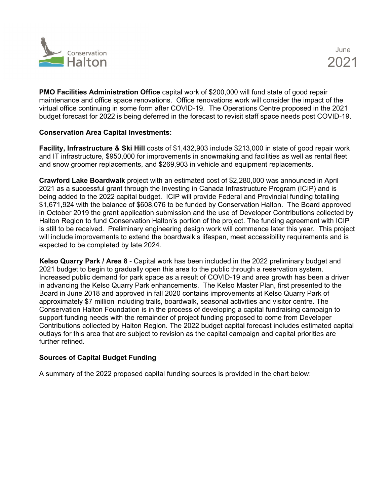



**PMO Facilities Administration Office** capital work of \$200,000 will fund state of good repair maintenance and office space renovations. Office renovations work will consider the impact of the virtual office continuing in some form after COVID-19. The Operations Centre proposed in the 2021 budget forecast for 2022 is being deferred in the forecast to revisit staff space needs post COVID-19.

### **Conservation Area Capital Investments:**

**Facility, Infrastructure & Ski Hill** costs of \$1,432,903 include \$213,000 in state of good repair work and IT infrastructure, \$950,000 for improvements in snowmaking and facilities as well as rental fleet and snow groomer replacements, and \$269,903 in vehicle and equipment replacements.

**Crawford Lake Boardwalk** project with an estimated cost of \$2,280,000 was announced in April 2021 as a successful grant through the Investing in Canada Infrastructure Program (ICIP) and is being added to the 2022 capital budget. ICIP will provide Federal and Provincial funding totalling \$1,671,924 with the balance of \$608,076 to be funded by Conservation Halton. The Board approved in October 2019 the grant application submission and the use of Developer Contributions collected by Halton Region to fund Conservation Halton's portion of the project. The funding agreement with ICIP is still to be received. Preliminary engineering design work will commence later this year. This project will include improvements to extend the boardwalk's lifespan, meet accessibility requirements and is expected to be completed by late 2024.

**Kelso Quarry Park / Area 8** - Capital work has been included in the 2022 preliminary budget and 2021 budget to begin to gradually open this area to the public through a reservation system. Increased public demand for park space as a result of COVID-19 and area growth has been a driver in advancing the Kelso Quarry Park enhancements. The Kelso Master Plan, first presented to the Board in June 2018 and approved in fall 2020 contains improvements at Kelso Quarry Park of approximately \$7 million including trails, boardwalk, seasonal activities and visitor centre. The Conservation Halton Foundation is in the process of developing a capital fundraising campaign to support funding needs with the remainder of project funding proposed to come from Developer Contributions collected by Halton Region. The 2022 budget capital forecast includes estimated capital outlays for this area that are subject to revision as the capital campaign and capital priorities are further refined.

### **Sources of Capital Budget Funding**

A summary of the 2022 proposed capital funding sources is provided in the chart below: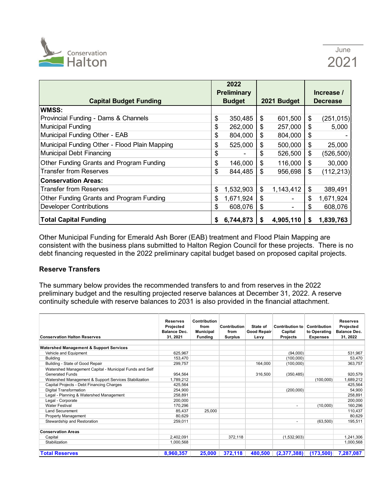

|                                               |    | 2022<br><b>Preliminary</b> |    |             |    | Increase /      |
|-----------------------------------------------|----|----------------------------|----|-------------|----|-----------------|
| <b>Capital Budget Funding</b>                 |    | <b>Budget</b>              |    | 2021 Budget |    | <b>Decrease</b> |
| WMSS:                                         |    |                            |    |             |    |                 |
| Provincial Funding - Dams & Channels          | \$ | 350,485                    | \$ | 601,500     | \$ | (251, 015)      |
| Municipal Funding                             | \$ | 262,000                    | \$ | 257,000     | \$ | 5,000           |
| Municipal Funding Other - EAB                 | \$ | 804,000                    | \$ | 804,000     | \$ |                 |
| Municipal Funding Other - Flood Plain Mapping | \$ | 525,000                    | \$ | 500,000     | \$ | 25,000          |
| Municipal Debt Financing                      | \$ |                            | \$ | 526,500     | \$ | (526, 500)      |
| Other Funding Grants and Program Funding      | \$ | 146,000                    | \$ | 116,000     | \$ | 30,000          |
| <b>Transfer from Reserves</b>                 | \$ | 844,485                    | \$ | 956,698     | \$ | (112, 213)      |
| <b>Conservation Areas:</b>                    |    |                            |    |             |    |                 |
| <b>Transfer from Reserves</b>                 | \$ | 1,532,903                  | \$ | 1,143,412   | \$ | 389,491         |
| Other Funding Grants and Program Funding      | \$ | 1,671,924                  | \$ |             | \$ | 1,671,924       |
| <b>Developer Contributions</b>                | \$ | 608,076                    | \$ |             | \$ | 608,076         |
| <b>Total Capital Funding</b>                  | S  | 6,744,873                  | S  | 4,905,110   | S  | 1,839,763       |

Other Municipal Funding for Emerald Ash Borer (EAB) treatment and Flood Plain Mapping are consistent with the business plans submitted to Halton Region Council for these projects. There is no debt financing requested in the 2022 preliminary capital budget based on proposed capital projects.

### **Reserve Transfers**

The summary below provides the recommended transfers to and from reserves in the 2022 preliminary budget and the resulting projected reserve balances at December 31, 2022. A reserve continuity schedule with reserve balances to 2031 is also provided in the financial attachment.

| <b>Conservation Halton Reserves</b>                     | <b>Reserves</b><br>Projected<br><b>Balance Dec.</b><br>31.2021 | Contribution<br>from<br><b>Municipal</b><br><b>Funding</b> | <b>Contribution</b><br>from<br><b>Surplus</b> | State of<br>Good Repair<br>Levy | Contribution to<br>Capital<br><b>Projects</b> | Contribution<br>to Operating<br><b>Expenses</b> | <b>Reserves</b><br>Projected<br><b>Balance Dec.</b><br>31, 2022 |
|---------------------------------------------------------|----------------------------------------------------------------|------------------------------------------------------------|-----------------------------------------------|---------------------------------|-----------------------------------------------|-------------------------------------------------|-----------------------------------------------------------------|
| <b>Watershed Management &amp; Support Services</b>      |                                                                |                                                            |                                               |                                 |                                               |                                                 |                                                                 |
| Vehicle and Equipment                                   | 625.967                                                        |                                                            |                                               |                                 | (94,000)                                      |                                                 | 531,967                                                         |
| <b>Building</b>                                         | 153.470                                                        |                                                            |                                               |                                 | (100,000)                                     |                                                 | 53,470                                                          |
| Building - State of Good Repair                         | 299,757                                                        |                                                            |                                               | 164.000                         | (100,000)                                     |                                                 | 363,757                                                         |
| Watershed Management Capital - Municipal Funds and Self |                                                                |                                                            |                                               |                                 |                                               |                                                 |                                                                 |
| <b>Generated Funds</b>                                  | 954.564                                                        |                                                            |                                               | 316,500                         | (350, 485)                                    |                                                 | 920.579                                                         |
| Watershed Management & Support Services Stabilization   | 1.789.212                                                      |                                                            |                                               |                                 |                                               | (100,000)                                       | 1,689,212                                                       |
| Capital Projects - Debt Financing Charges               | 425,564                                                        |                                                            |                                               |                                 |                                               |                                                 | 425,564                                                         |
| Digital Transformation                                  | 254,900                                                        |                                                            |                                               |                                 | (200,000)                                     |                                                 | 54,900                                                          |
| Legal - Planning & Watershed Management                 | 258,891                                                        |                                                            |                                               |                                 |                                               |                                                 | 258,891                                                         |
| Legal - Corporate                                       | 200,000                                                        |                                                            |                                               |                                 |                                               |                                                 | 200,000                                                         |
| <b>Water Festival</b>                                   | 170,296                                                        |                                                            |                                               |                                 | -                                             | (10,000)                                        | 160,296                                                         |
| <b>Land Securement</b>                                  | 85.437                                                         | 25,000                                                     |                                               |                                 |                                               |                                                 | 110,437                                                         |
| <b>Property Management</b>                              | 80,629                                                         |                                                            |                                               |                                 |                                               |                                                 | 80,629                                                          |
| Stewardship and Restoration                             | 259,011                                                        |                                                            |                                               |                                 | -                                             | (63,500)                                        | 195,511                                                         |
| <b>Conservation Areas</b>                               |                                                                |                                                            |                                               |                                 |                                               |                                                 |                                                                 |
| Capital                                                 | 2,402,091                                                      |                                                            | 372,118                                       |                                 | (1,532,903)                                   |                                                 | 1,241,306                                                       |
| Stabilization                                           | 1,000,568                                                      |                                                            |                                               |                                 |                                               |                                                 | 1,000,568                                                       |
| <b>Total Reserves</b>                                   | 8,960,357                                                      | 25,000                                                     | 372,118                                       | 480,500                         | (2,377,388)                                   | (173,500)                                       | 7,287,087                                                       |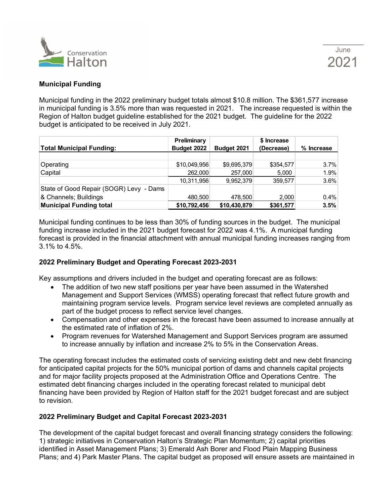

### **Municipal Funding**

Municipal funding in the 2022 preliminary budget totals almost \$10.8 million. The \$361,577 increase in municipal funding is 3.5% more than was requested in 2021. The increase requested is within the Region of Halton budget guideline established for the 2021 budget. The guideline for the 2022 budget is anticipated to be received in July 2021.

| <b>Total Municipal Funding:</b>         | Preliminary<br>Budget 2022 | Budget 2021  | \$ Increase<br>(Decrease) | % Increase |
|-----------------------------------------|----------------------------|--------------|---------------------------|------------|
|                                         |                            |              |                           |            |
| Operating                               | \$10,049,956               | \$9,695,379  | \$354,577                 | 3.7%       |
| Capital                                 | 262,000                    | 257,000      | 5,000                     | 1.9%       |
|                                         | 10,311,956                 | 9,952,379    | 359,577                   | 3.6%       |
| State of Good Repair (SOGR) Levy - Dams |                            |              |                           |            |
| & Channels; Buildings                   | 480,500                    | 478,500      | 2,000                     | 0.4%       |
| <b>Municipal Funding total</b>          | \$10,792,456               | \$10,430,879 | \$361,577                 | 3.5%       |

Municipal funding continues to be less than 30% of funding sources in the budget. The municipal funding increase included in the 2021 budget forecast for 2022 was 4.1%. A municipal funding forecast is provided in the financial attachment with annual municipal funding increases ranging from 3.1% to 4.5%.

### **2022 Preliminary Budget and Operating Forecast 2023-2031**

Key assumptions and drivers included in the budget and operating forecast are as follows:

- The addition of two new staff positions per year have been assumed in the Watershed Management and Support Services (WMSS) operating forecast that reflect future growth and maintaining program service levels. Program service level reviews are completed annually as part of the budget process to reflect service level changes.
- Compensation and other expenses in the forecast have been assumed to increase annually at the estimated rate of inflation of 2%.
- Program revenues for Watershed Management and Support Services program are assumed to increase annually by inflation and increase 2% to 5% in the Conservation Areas.

The operating forecast includes the estimated costs of servicing existing debt and new debt financing for anticipated capital projects for the 50% municipal portion of dams and channels capital projects and for major facility projects proposed at the Administration Office and Operations Centre. The estimated debt financing charges included in the operating forecast related to municipal debt financing have been provided by Region of Halton staff for the 2021 budget forecast and are subject to revision.

### **2022 Preliminary Budget and Capital Forecast 2023-2031**

The development of the capital budget forecast and overall financing strategy considers the following: 1) strategic initiatives in Conservation Halton's Strategic Plan Momentum; 2) capital priorities identified in Asset Management Plans; 3) Emerald Ash Borer and Flood Plain Mapping Business Plans; and 4) Park Master Plans. The capital budget as proposed will ensure assets are maintained in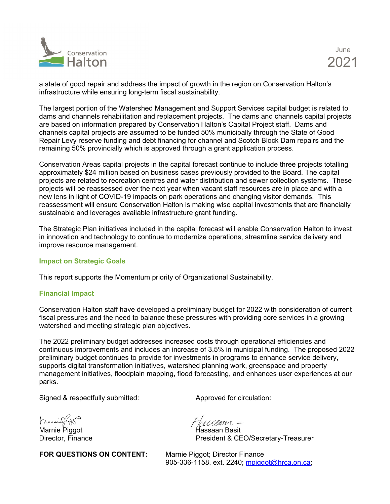

a state of good repair and address the impact of growth in the region on Conservation Halton's infrastructure while ensuring long-term fiscal sustainability.

The largest portion of the Watershed Management and Support Services capital budget is related to dams and channels rehabilitation and replacement projects. The dams and channels capital projects are based on information prepared by Conservation Halton's Capital Project staff. Dams and channels capital projects are assumed to be funded 50% municipally through the State of Good Repair Levy reserve funding and debt financing for channel and Scotch Block Dam repairs and the remaining 50% provincially which is approved through a grant application process.

Conservation Areas capital projects in the capital forecast continue to include three projects totalling approximately \$24 million based on business cases previously provided to the Board. The capital projects are related to recreation centres and water distribution and sewer collection systems. These projects will be reassessed over the next year when vacant staff resources are in place and with a new lens in light of COVID-19 impacts on park operations and changing visitor demands. This reassessment will ensure Conservation Halton is making wise capital investments that are financially sustainable and leverages available infrastructure grant funding.

The Strategic Plan initiatives included in the capital forecast will enable Conservation Halton to invest in innovation and technology to continue to modernize operations, streamline service delivery and improve resource management.

### **Impact on Strategic Goals**

This report supports the Momentum priority of Organizational Sustainability.

### **Financial Impact**

Conservation Halton staff have developed a preliminary budget for 2022 with consideration of current fiscal pressures and the need to balance these pressures with providing core services in a growing watershed and meeting strategic plan objectives.

The 2022 preliminary budget addresses increased costs through operational efficiencies and continuous improvements and includes an increase of 3.5% in municipal funding. The proposed 2022 preliminary budget continues to provide for investments in programs to enhance service delivery, supports digital transformation initiatives, watershed planning work, greenspace and property management initiatives, floodplain mapping, flood forecasting, and enhances user experiences at our parks.

Signed & respectfully submitted: Approved for circulation:

Marniegrys

Marnie Piggot Hassaan Basit

**FOR QUESTIONS ON CONTENT:** Marnie Piggot; Director Finance

Tresseren -

President & CEO/Secretary-Treasurer

905-336-1158, ext. 2240; [mpiggot@hrca.on.ca;](mailto:mpiggot@hrca.on.ca)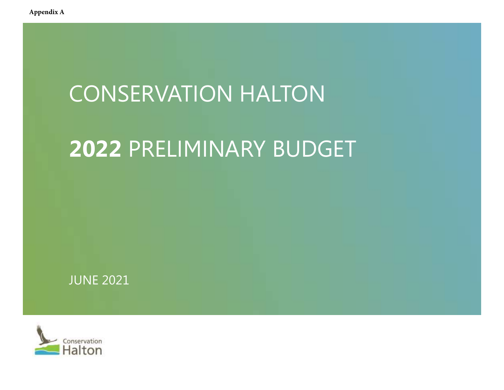# CONSERVATION HALTON

# CONSERVATION HALTON<br>2022 PRELIMINARY BUDGET



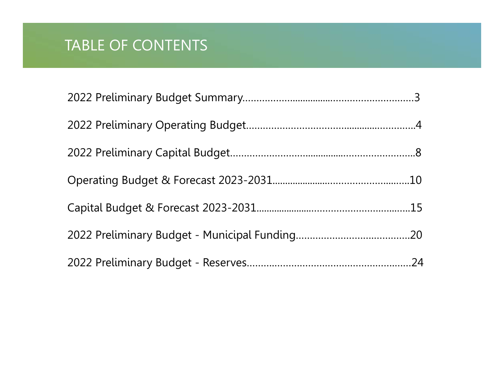## TABLE OF CONTENTS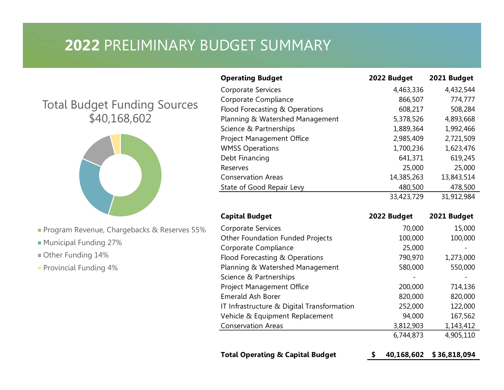# <sup>2022</sup>PRELIMINARY BUDGET SUMMARY

## Total Budget Funding Sources \$40,168,602



- Program Revenue, Chargebacks & Reserves 55%
- Municipal Funding 27%
- Other Funding 14%
- **Provincial Funding 4%**

| <b>DGET SUMMARY</b>              |             |             |
|----------------------------------|-------------|-------------|
|                                  |             |             |
|                                  |             |             |
|                                  |             |             |
| <b>Operating Budget</b>          | 2022 Budget | 2021 Budget |
| Corporate Services               | 4,463,336   | 4,432,544   |
| Corporate Compliance             | 866,507     | 774,777     |
| Flood Forecasting & Operations   | 608,217     | 508,284     |
| Planning & Watershed Management  | 5,378,526   | 4,893,668   |
| Science & Partnerships           | 1,889,364   | 1,992,466   |
| Project Management Office        | 2,985,409   | 2,721,509   |
| <b>WMSS Operations</b>           | 1,700,236   | 1,623,476   |
| Debt Financing                   | 641,371     | 619,245     |
| Reserves                         | 25,000      | 25,000      |
| <b>Conservation Areas</b>        | 14,385,263  | 13,843,514  |
| State of Good Repair Levy        | 480,500     | 478,500     |
|                                  | 33,423,729  | 31,912,984  |
| <b>Capital Budget</b>            | 2022 Budget | 2021 Budget |
| <b>Corporate Services</b>        | 70,000      | 15,000      |
| Other Foundation Funded Projects | 100,000     | 100,000     |
|                                  | 25,000      |             |
| Corporate Compliance             | 790,970     | 1,273,000   |
| Flood Forecasting & Operations   |             |             |

| <b>Operating Budget</b>                     | 2022 Budget | 2021 Budget             |
|---------------------------------------------|-------------|-------------------------|
| <b>Corporate Services</b>                   | 4,463,336   | 4,432,544               |
| Corporate Compliance                        | 866,507     | 774,777                 |
| Flood Forecasting & Operations              | 608,217     | 508,284                 |
| Planning & Watershed Management             | 5,378,526   | 4,893,668               |
| Science & Partnerships                      | 1,889,364   | 1,992,466               |
| Project Management Office                   | 2,985,409   | 2,721,509               |
| <b>WMSS Operations</b>                      | 1,700,236   | 1,623,476               |
| Debt Financing                              | 641,371     | 619,245                 |
| Reserves                                    | 25,000      | 25,000                  |
| <b>Conservation Areas</b>                   | 14,385,263  | 13,843,514              |
| State of Good Repair Levy                   | 480,500     | 478,500                 |
|                                             | 33,423,729  | 31,912,984              |
| <b>Capital Budget</b>                       | 2022 Budget | 2021 Budget             |
| Corporate Services                          | 70,000      | 15,000                  |
| Other Foundation Funded Projects            | 100,000     | 100,000                 |
| Corporate Compliance                        | 25,000      |                         |
| Flood Forecasting & Operations              | 790,970     | 1,273,000               |
| Planning & Watershed Management             | 580,000     | 550,000                 |
| Science & Partnerships                      |             |                         |
| Project Management Office                   | 200,000     | 714,136                 |
| <b>Emerald Ash Borer</b>                    | 820,000     | 820,000                 |
| IT Infrastructure & Digital Transformation  | 252,000     | 122,000                 |
| Vehicle & Equipment Replacement             | 94,000      | 167,562                 |
| <b>Conservation Areas</b>                   | 3,812,903   | 1,143,412               |
|                                             | 6,744,873   | 4,905,110               |
| <b>Total Operating &amp; Capital Budget</b> |             | 40,168,602 \$36,818,094 |